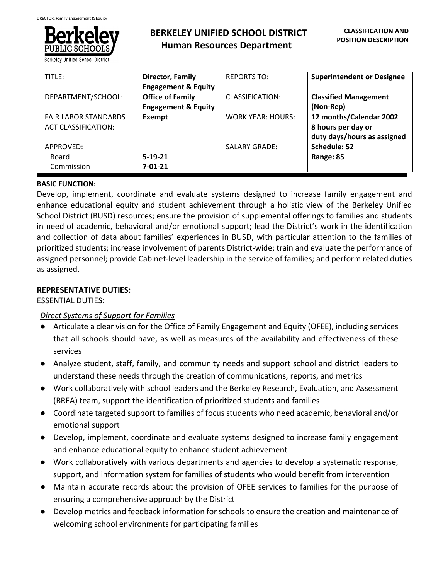

Berkeley Unified School District

| TITLE:                      | <b>Director, Family</b>        | <b>REPORTS TO:</b>       | <b>Superintendent or Designee</b> |
|-----------------------------|--------------------------------|--------------------------|-----------------------------------|
|                             | <b>Engagement &amp; Equity</b> |                          |                                   |
| DEPARTMENT/SCHOOL:          | <b>Office of Family</b>        | CLASSIFICATION:          | <b>Classified Management</b>      |
|                             | <b>Engagement &amp; Equity</b> |                          | (Non-Rep)                         |
| <b>FAIR LABOR STANDARDS</b> | Exempt                         | <b>WORK YEAR: HOURS:</b> | 12 months/Calendar 2002           |
| <b>ACT CLASSIFICATION:</b>  |                                |                          | 8 hours per day or                |
|                             |                                |                          | duty days/hours as assigned       |
| APPROVED:                   |                                | <b>SALARY GRADE:</b>     | Schedule: 52                      |
| Board                       | $5-19-21$                      |                          | Range: 85                         |
| Commission                  | $7 - 01 - 21$                  |                          |                                   |

### **BASIC FUNCTION:**

Develop, implement, coordinate and evaluate systems designed to increase family engagement and enhance educational equity and student achievement through a holistic view of the Berkeley Unified School District (BUSD) resources; ensure the provision of supplemental offerings to families and students in need of academic, behavioral and/or emotional support; lead the District's work in the identification and collection of data about families' experiences in BUSD, with particular attention to the families of prioritized students; increase involvement of parents District-wide; train and evaluate the performance of assigned personnel; provide Cabinet-level leadership in the service of families; and perform related duties as assigned.

## **REPRESENTATIVE DUTIES:**

### ESSENTIAL DUTIES:

## *Direct Systems of Support for Families*

- Articulate a clear vision for the Office of Family Engagement and Equity (OFEE), including services that all schools should have, as well as measures of the availability and effectiveness of these services
- Analyze student, staff, family, and community needs and support school and district leaders to understand these needs through the creation of communications, reports, and metrics
- Work collaboratively with school leaders and the Berkeley Research, Evaluation, and Assessment (BREA) team, support the identification of prioritized students and families
- Coordinate targeted support to families of focus students who need academic, behavioral and/or emotional support
- Develop, implement, coordinate and evaluate systems designed to increase family engagement and enhance educational equity to enhance student achievement
- Work collaboratively with various departments and agencies to develop a systematic response, support, and information system for families of students who would benefit from intervention
- Maintain accurate records about the provision of OFEE services to families for the purpose of ensuring a comprehensive approach by the District
- Develop metrics and feedback information for schools to ensure the creation and maintenance of welcoming school environments for participating families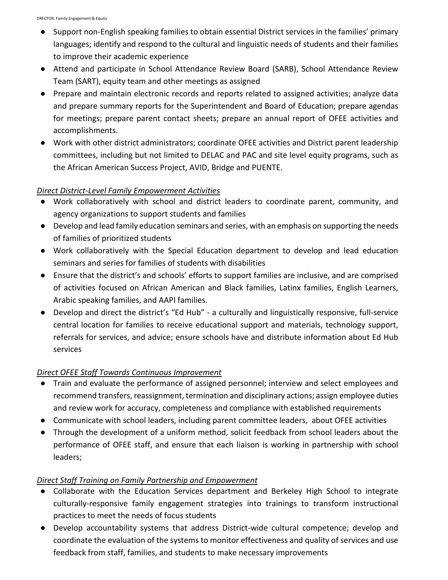- Support non-English speaking families to obtain essential District services in the families' primary languages; identify and respond to the cultural and linguistic needs of students and their families to improve their academic experience
- Attend and participate in School Attendance Review Board (SARB), School Attendance Review Team (SART), equity team and other meetings as assigned
- Prepare and maintain electronic records and reports related to assigned activities; analyze data and prepare summary reports for the Superintendent and Board of Education; prepare agendas for meetings; prepare parent contact sheets; prepare an annual report of OFEE activities and accomplishments.
- Work with other district administrators; coordinate OFEE activities and District parent leadership committees, including but not limited to DELAC and PAC and site level equity programs, such as the African American Success Project, AVID, Bridge and PUENTE.

# *Direct District-Level Family Empowerment Activities*

- Work collaboratively with school and district leaders to coordinate parent, community, and agency organizations to support students and families
- Develop and lead family education seminars and series, with an emphasis on supporting the needs of families of prioritized students
- Work collaboratively with the Special Education department to develop and lead education seminars and series for families of students with disabilities
- Ensure that the district's and schools' efforts to support families are inclusive, and are comprised of activities focused on African American and Black families, Latinx families, English Learners, Arabic speaking families, and AAPI families.
- Develop and direct the district's "Ed Hub" a culturally and linguistically responsive, full-service central location for families to receive educational support and materials, technology support, referrals for services, and advice; ensure schools have and distribute information about Ed Hub services

# *Direct OFEE Staff Towards Continuous Improvement*

- Train and evaluate the performance of assigned personnel; interview and select employees and recommend transfers, reassignment, termination and disciplinary actions; assign employee duties and review work for accuracy, completeness and compliance with established requirements
- Communicate with school leaders, including parent committee leaders, about OFEE activities
- Through the development of a uniform method, solicit feedback from school leaders about the performance of OFEE staff, and ensure that each liaison is working in partnership with school leaders;

# *Direct Staff Training on Family Partnership and Empowerment*

- Collaborate with the Education Services department and Berkeley High School to integrate culturally-responsive family engagement strategies into trainings to transform instructional practices to meet the needs of focus students
- Develop accountability systems that address District-wide cultural competence; develop and coordinate the evaluation of the systems to monitor effectiveness and quality of services and use feedback from staff, families, and students to make necessary improvements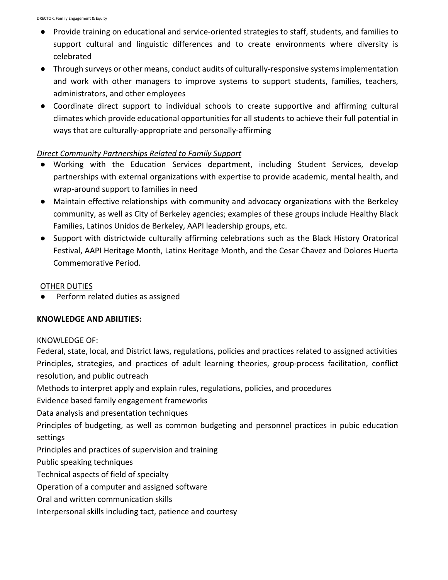- Provide training on educational and service-oriented strategies to staff, students, and families to support cultural and linguistic differences and to create environments where diversity is celebrated
- Through surveys or other means, conduct audits of culturally-responsive systems implementation and work with other managers to improve systems to support students, families, teachers, administrators, and other employees
- Coordinate direct support to individual schools to create supportive and affirming cultural climates which provide educational opportunities for all students to achieve their full potential in ways that are culturally-appropriate and personally-affirming

### *Direct Community Partnerships Related to Family Support*

- Working with the Education Services department, including Student Services, develop partnerships with external organizations with expertise to provide academic, mental health, and wrap-around support to families in need
- Maintain effective relationships with community and advocacy organizations with the Berkeley community, as well as City of Berkeley agencies; examples of these groups include Healthy Black Families, Latinos Unidos de Berkeley, AAPI leadership groups, etc.
- Support with districtwide culturally affirming celebrations such as the Black History Oratorical Festival, AAPI Heritage Month, Latinx Heritage Month, and the Cesar Chavez and Dolores Huerta Commemorative Period.

### OTHER DUTIES

Perform related duties as assigned

### **KNOWLEDGE AND ABILITIES:**

### KNOWLEDGE OF:

Federal, state, local, and District laws, regulations, policies and practices related to assigned activities Principles, strategies, and practices of adult learning theories, group-process facilitation, conflict resolution, and public outreach

Methods to interpret apply and explain rules, regulations, policies, and procedures

Evidence based family engagement frameworks

Data analysis and presentation techniques

Principles of budgeting, as well as common budgeting and personnel practices in pubic education settings

Principles and practices of supervision and training

Public speaking techniques

Technical aspects of field of specialty

Operation of a computer and assigned software

Oral and written communication skills

Interpersonal skills including tact, patience and courtesy